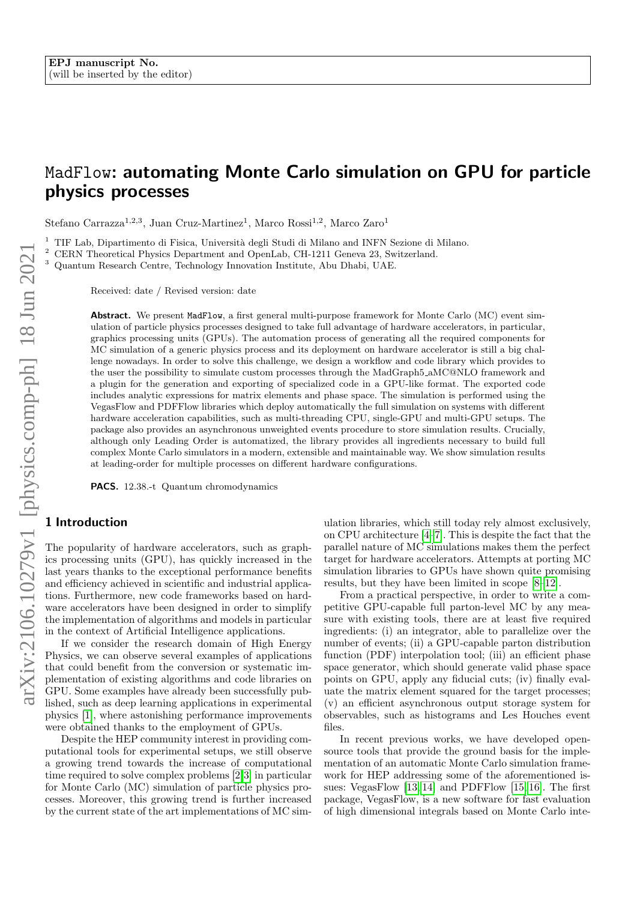# MadFlow: automating Monte Carlo simulation on GPU for particle physics processes

Stefano Carrazza<sup>1,2,3</sup>, Juan Cruz-Martinez<sup>1</sup>, Marco Rossi<sup>1,2</sup>, Marco Zaro<sup>1</sup>

<sup>1</sup> TIF Lab, Dipartimento di Fisica, Università degli Studi di Milano and INFN Sezione di Milano.<br><sup>2</sup> CERN Theoretical Physics Department and OpenLab, CH-1211 Geneva 23, Switzerland

<sup>2</sup> CERN Theoretical Physics Department and OpenLab, CH-1211 Geneva 23, Switzerland.

<sup>3</sup> Quantum Research Centre, Technology Innovation Institute, Abu Dhabi, UAE.

Received: date / Revised version: date

Abstract. We present MadFlow, a first general multi-purpose framework for Monte Carlo (MC) event simulation of particle physics processes designed to take full advantage of hardware accelerators, in particular, graphics processing units (GPUs). The automation process of generating all the required components for MC simulation of a generic physics process and its deployment on hardware accelerator is still a big challenge nowadays. In order to solve this challenge, we design a workflow and code library which provides to the user the possibility to simulate custom processes through the MadGraph5 aMC@NLO framework and a plugin for the generation and exporting of specialized code in a GPU-like format. The exported code includes analytic expressions for matrix elements and phase space. The simulation is performed using the VegasFlow and PDFFlow libraries which deploy automatically the full simulation on systems with different hardware acceleration capabilities, such as multi-threading CPU, single-GPU and multi-GPU setups. The package also provides an asynchronous unweighted events procedure to store simulation results. Crucially, although only Leading Order is automatized, the library provides all ingredients necessary to build full complex Monte Carlo simulators in a modern, extensible and maintainable way. We show simulation results at leading-order for multiple processes on different hardware configurations.

PACS. 12.38.-t Quantum chromodynamics

# 1 Introduction

The popularity of hardware accelerators, such as graphics processing units (GPU), has quickly increased in the last years thanks to the exceptional performance benefits and efficiency achieved in scientific and industrial applications. Furthermore, new code frameworks based on hardware accelerators have been designed in order to simplify the implementation of algorithms and models in particular in the context of Artificial Intelligence applications.

If we consider the research domain of High Energy Physics, we can observe several examples of applications that could benefit from the conversion or systematic implementation of existing algorithms and code libraries on GPU. Some examples have already been successfully published, such as deep learning applications in experimental physics [\[1\]](#page-5-0), where astonishing performance improvements were obtained thanks to the employment of GPUs.

Despite the HEP community interest in providing computational tools for experimental setups, we still observe a growing trend towards the increase of computational time required to solve complex problems [\[2,](#page-5-1)[3\]](#page-5-2) in particular for Monte Carlo (MC) simulation of particle physics processes. Moreover, this growing trend is further increased by the current state of the art implementations of MC simulation libraries, which still today rely almost exclusively, on CPU architecture [\[4](#page-5-3)[–7\]](#page-5-4). This is despite the fact that the parallel nature of MC simulations makes them the perfect target for hardware accelerators. Attempts at porting MC simulation libraries to GPUs have shown quite promising results, but they have been limited in scope [\[8](#page-5-5)[–12\]](#page-6-0).

From a practical perspective, in order to write a competitive GPU-capable full parton-level MC by any measure with existing tools, there are at least five required ingredients: (i) an integrator, able to parallelize over the number of events; (ii) a GPU-capable parton distribution function (PDF) interpolation tool; (iii) an efficient phase space generator, which should generate valid phase space points on GPU, apply any fiducial cuts; (iv) finally evaluate the matrix element squared for the target processes; (v) an efficient asynchronous output storage system for observables, such as histograms and Les Houches event files.

In recent previous works, we have developed opensource tools that provide the ground basis for the implementation of an automatic Monte Carlo simulation framework for HEP addressing some of the aforementioned issues: VegasFlow [\[13,](#page-6-1) [14\]](#page-6-2) and PDFFlow [\[15,](#page-6-3) [16\]](#page-6-4). The first package, VegasFlow, is a new software for fast evaluation of high dimensional integrals based on Monte Carlo inte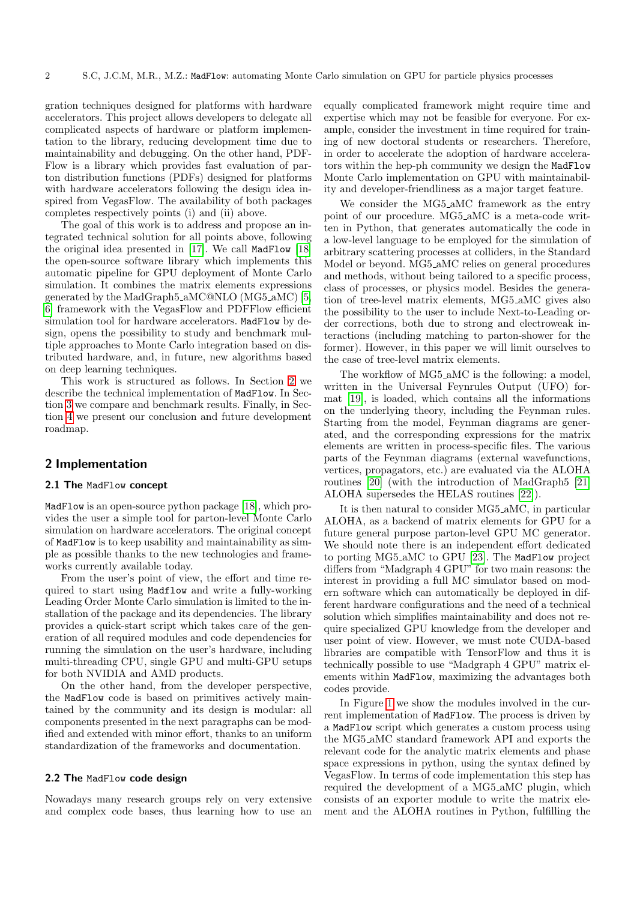gration techniques designed for platforms with hardware accelerators. This project allows developers to delegate all complicated aspects of hardware or platform implementation to the library, reducing development time due to maintainability and debugging. On the other hand, PDF-Flow is a library which provides fast evaluation of parton distribution functions (PDFs) designed for platforms with hardware accelerators following the design idea inspired from VegasFlow. The availability of both packages completes respectively points (i) and (ii) above.

The goal of this work is to address and propose an integrated technical solution for all points above, following the original idea presented in [\[17\]](#page-6-5). We call MadFlow [\[18\]](#page-6-6) the open-source software library which implements this automatic pipeline for GPU deployment of Monte Carlo simulation. It combines the matrix elements expressions generated by the MadGraph5 aMC@NLO (MG5 aMC) [\[5,](#page-5-6) [6\]](#page-5-7) framework with the VegasFlow and PDFFlow efficient simulation tool for hardware accelerators. MadFlow by design, opens the possibility to study and benchmark multiple approaches to Monte Carlo integration based on distributed hardware, and, in future, new algorithms based on deep learning techniques.

This work is structured as follows. In Section [2](#page-1-0) we describe the technical implementation of MadFlow. In Section [3](#page-3-0) we compare and benchmark results. Finally, in Section [4](#page-5-8) we present our conclusion and future development roadmap.

# <span id="page-1-0"></span>2 Implementation

#### 2.1 The MadFlow concept

MadFlow is an open-source python package [\[18\]](#page-6-6), which provides the user a simple tool for parton-level Monte Carlo simulation on hardware accelerators. The original concept of MadFlow is to keep usability and maintainability as simple as possible thanks to the new technologies and frameworks currently available today.

From the user's point of view, the effort and time required to start using Madflow and write a fully-working Leading Order Monte Carlo simulation is limited to the installation of the package and its dependencies. The library provides a quick-start script which takes care of the generation of all required modules and code dependencies for running the simulation on the user's hardware, including multi-threading CPU, single GPU and multi-GPU setups for both NVIDIA and AMD products.

On the other hand, from the developer perspective, the MadFlow code is based on primitives actively maintained by the community and its design is modular: all components presented in the next paragraphs can be modified and extended with minor effort, thanks to an uniform standardization of the frameworks and documentation.

#### 2.2 The MadFlow code design

Nowadays many research groups rely on very extensive and complex code bases, thus learning how to use an equally complicated framework might require time and expertise which may not be feasible for everyone. For example, consider the investment in time required for training of new doctoral students or researchers. Therefore, in order to accelerate the adoption of hardware accelerators within the hep-ph community we design the MadFlow Monte Carlo implementation on GPU with maintainability and developer-friendliness as a major target feature.

We consider the MG5<sub>-a</sub>MC framework as the entry point of our procedure. MG5 aMC is a meta-code written in Python, that generates automatically the code in a low-level language to be employed for the simulation of arbitrary scattering processes at colliders, in the Standard Model or beyond. MG5 aMC relies on general procedures and methods, without being tailored to a specific process, class of processes, or physics model. Besides the generation of tree-level matrix elements, MG5 aMC gives also the possibility to the user to include Next-to-Leading order corrections, both due to strong and electroweak interactions (including matching to parton-shower for the former). However, in this paper we will limit ourselves to the case of tree-level matrix elements.

The workflow of MG5<sub>-a</sub>MC is the following: a model, written in the Universal Feynrules Output (UFO) format [\[19\]](#page-6-7), is loaded, which contains all the informations on the underlying theory, including the Feynman rules. Starting from the model, Feynman diagrams are generated, and the corresponding expressions for the matrix elements are written in process-specific files. The various parts of the Feynman diagrams (external wavefunctions, vertices, propagators, etc.) are evaluated via the ALOHA routines [\[20\]](#page-6-8) (with the introduction of MadGraph5 [\[21\]](#page-6-9) ALOHA supersedes the HELAS routines [\[22\]](#page-6-10)).

It is then natural to consider MG5 aMC, in particular ALOHA, as a backend of matrix elements for GPU for a future general purpose parton-level GPU MC generator. We should note there is an independent effort dedicated to porting MG5 aMC to GPU [\[23\]](#page-6-11). The MadFlow project differs from "Madgraph 4 GPU" for two main reasons: the interest in providing a full MC simulator based on modern software which can automatically be deployed in different hardware configurations and the need of a technical solution which simplifies maintainability and does not require specialized GPU knowledge from the developer and user point of view. However, we must note CUDA-based libraries are compatible with TensorFlow and thus it is technically possible to use "Madgraph 4 GPU" matrix elements within MadFlow, maximizing the advantages both codes provide.

In Figure [1](#page-2-0) we show the modules involved in the current implementation of MadFlow. The process is driven by a MadFlow script which generates a custom process using the MG5 aMC standard framework API and exports the relevant code for the analytic matrix elements and phase space expressions in python, using the syntax defined by VegasFlow. In terms of code implementation this step has required the development of a MG5 aMC plugin, which consists of an exporter module to write the matrix element and the ALOHA routines in Python, fulfilling the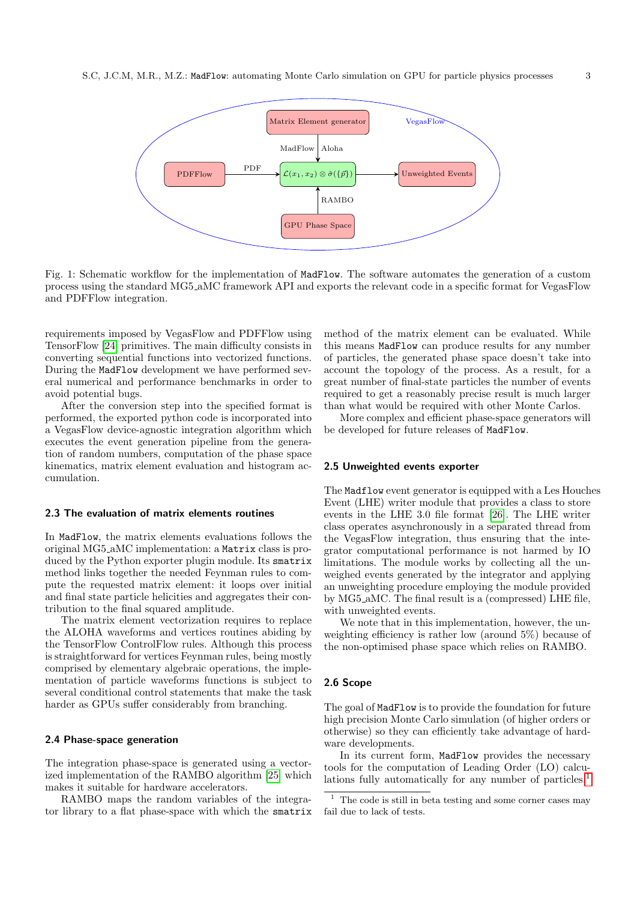<span id="page-2-0"></span>

Fig. 1: Schematic workflow for the implementation of MadFlow. The software automates the generation of a custom process using the standard MG5 aMC framework API and exports the relevant code in a specific format for VegasFlow and PDFFlow integration.

requirements imposed by VegasFlow and PDFFlow using TensorFlow [\[24\]](#page-6-12) primitives. The main difficulty consists in converting sequential functions into vectorized functions. During the MadFlow development we have performed several numerical and performance benchmarks in order to avoid potential bugs.

After the conversion step into the specified format is performed, the exported python code is incorporated into a VegasFlow device-agnostic integration algorithm which executes the event generation pipeline from the generation of random numbers, computation of the phase space kinematics, matrix element evaluation and histogram accumulation.

#### 2.3 The evaluation of matrix elements routines

In MadFlow, the matrix elements evaluations follows the original MG5 aMC implementation: a Matrix class is produced by the Python exporter plugin module. Its smatrix method links together the needed Feynman rules to compute the requested matrix element: it loops over initial and final state particle helicities and aggregates their contribution to the final squared amplitude.

The matrix element vectorization requires to replace the ALOHA waveforms and vertices routines abiding by the TensorFlow ControlFlow rules. Although this process is straightforward for vertices Feynman rules, being mostly comprised by elementary algebraic operations, the implementation of particle waveforms functions is subject to several conditional control statements that make the task harder as GPUs suffer considerably from branching.

#### <span id="page-2-2"></span>2.4 Phase-space generation

The integration phase-space is generated using a vectorized implementation of the RAMBO algorithm [\[25\]](#page-6-13) which makes it suitable for hardware accelerators.

RAMBO maps the random variables of the integrator library to a flat phase-space with which the smatrix method of the matrix element can be evaluated. While this means MadFlow can produce results for any number of particles, the generated phase space doesn't take into account the topology of the process. As a result, for a great number of final-state particles the number of events required to get a reasonably precise result is much larger than what would be required with other Monte Carlos.

More complex and efficient phase-space generators will be developed for future releases of MadFlow.

#### <span id="page-2-3"></span>2.5 Unweighted events exporter

The Madflow event generator is equipped with a Les Houches Event (LHE) writer module that provides a class to store events in the LHE 3.0 file format [\[26\]](#page-6-14). The LHE writer class operates asynchronously in a separated thread from the VegasFlow integration, thus ensuring that the integrator computational performance is not harmed by IO limitations. The module works by collecting all the unweighed events generated by the integrator and applying an unweighting procedure employing the module provided by MG5 aMC. The final result is a (compressed) LHE file, with unweighted events.

We note that in this implementation, however, the unweighting efficiency is rather low (around 5%) because of the non-optimised phase space which relies on RAMBO.

#### 2.6 Scope

The goal of MadFlow is to provide the foundation for future high precision Monte Carlo simulation (of higher orders or otherwise) so they can efficiently take advantage of hardware developments.

In its current form, MadFlow provides the necessary tools for the computation of Leading Order (LO) calcu-lations fully automatically for any number of particles.<sup>[1](#page-2-1)</sup>

<span id="page-2-1"></span><sup>1</sup> The code is still in beta testing and some corner cases may fail due to lack of tests.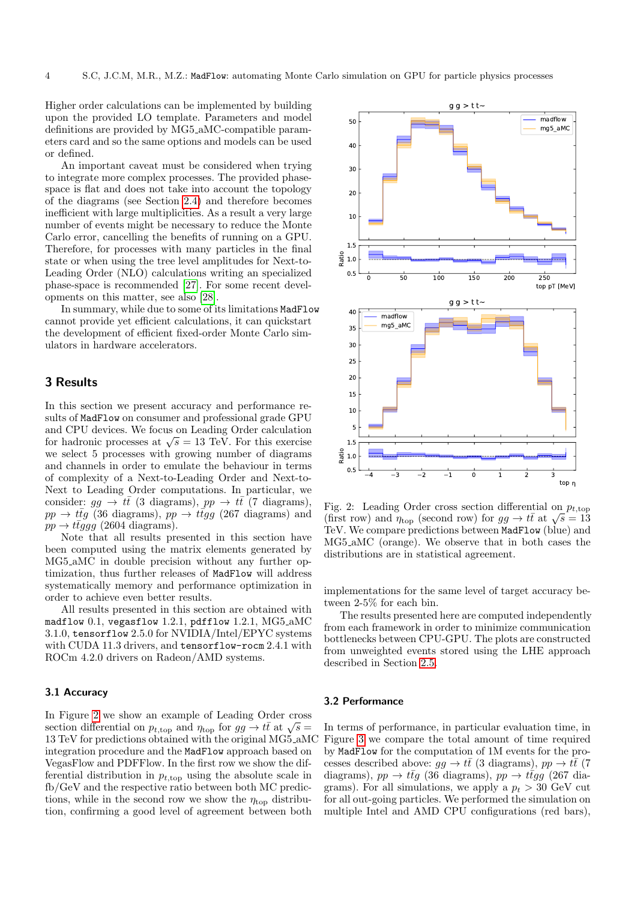Higher order calculations can be implemented by building upon the provided LO template. Parameters and model definitions are provided by MG5 aMC-compatible parameters card and so the same options and models can be used or defined.

An important caveat must be considered when trying to integrate more complex processes. The provided phasespace is flat and does not take into account the topology of the diagrams (see Section [2.4\)](#page-2-2) and therefore becomes inefficient with large multiplicities. As a result a very large number of events might be necessary to reduce the Monte Carlo error, cancelling the benefits of running on a GPU. Therefore, for processes with many particles in the final state or when using the tree level amplitudes for Next-to-Leading Order (NLO) calculations writing an specialized phase-space is recommended [\[27\]](#page-6-15). For some recent developments on this matter, see also [\[28\]](#page-6-16).

In summary, while due to some of its limitations MadFlow cannot provide yet efficient calculations, it can quickstart the development of efficient fixed-order Monte Carlo simulators in hardware accelerators.

# <span id="page-3-0"></span>3 Results

In this section we present accuracy and performance results of MadFlow on consumer and professional grade GPU and CPU devices. We focus on Leading Order calculation and CPU devices. We focus on Leading Order calculation<br>for hadronic processes at  $\sqrt{s} = 13$  TeV. For this exercise we select 5 processes with growing number of diagrams and channels in order to emulate the behaviour in terms of complexity of a Next-to-Leading Order and Next-to-Next to Leading Order computations. In particular, we consider:  $gg \to t\bar{t}$  (3 diagrams),  $pp \to t\bar{t}$  (7 diagrams),  $pp \rightarrow t\bar{t}g$  (36 diagrams),  $pp \rightarrow t\bar{t}gg$  (267 diagrams) and  $pp \rightarrow t\bar{t}ggg$  (2604 diagrams).

Note that all results presented in this section have been computed using the matrix elements generated by MG5 aMC in double precision without any further optimization, thus further releases of MadFlow will address systematically memory and performance optimization in order to achieve even better results.

All results presented in this section are obtained with madflow 0.1, vegasflow 1.2.1, pdfflow 1.2.1, MG5\_aMC 3.1.0, tensorflow 2.5.0 for NVIDIA/Intel/EPYC systems with CUDA 11.3 drivers, and tensorflow-rocm 2.4.1 with ROCm 4.2.0 drivers on Radeon/AMD systems.

#### 3.1 Accuracy

In Figure [2](#page-3-1) we show an example of Leading Order cross In Figure 2 we show an example or Leading Order cross<br>section differential on  $p_{t,\text{top}}$  and  $\eta_{\text{top}}$  for  $gg \to t\bar{t}$  at  $\sqrt{s} =$ 13 TeV for predictions obtained with the original MG5 aMC integration procedure and the MadFlow approach based on VegasFlow and PDFFlow. In the first row we show the differential distribution in  $p_{t,\text{top}}$  using the absolute scale in fb/GeV and the respective ratio between both MC predictions, while in the second row we show the  $\eta_{\text{top}}$  distribution, confirming a good level of agreement between both

<span id="page-3-1"></span>

Fig. 2: Leading Order cross section differential on  $p_{t,\text{top}}$ Fig. 2: Leading Order cross section differential on  $p_{t,\text{top}}$ <br>(first row) and  $\eta_{\text{top}}$  (second row) for  $gg \to t\bar{t}$  at  $\sqrt{s} = 13$ TeV. We compare predictions between MadFlow (blue) and MG5 aMC (orange). We observe that in both cases the distributions are in statistical agreement.

implementations for the same level of target accuracy between 2-5% for each bin.

The results presented here are computed independently from each framework in order to minimize communication bottlenecks between CPU-GPU. The plots are constructed from unweighted events stored using the LHE approach described in Section [2.5.](#page-2-3)

#### 3.2 Performance

In terms of performance, in particular evaluation time, in Figure [3](#page-4-0) we compare the total amount of time required by MadFlow for the computation of 1M events for the processes described above:  $gg \to t\bar{t}$  (3 diagrams),  $pp \to t\bar{t}$  (7 diagrams),  $pp \rightarrow t\bar{t}g$  (36 diagrams),  $pp \rightarrow t\bar{t}gg$  (267 diagrams). For all simulations, we apply a  $p_t > 30$  GeV cut for all out-going particles. We performed the simulation on multiple Intel and AMD CPU configurations (red bars),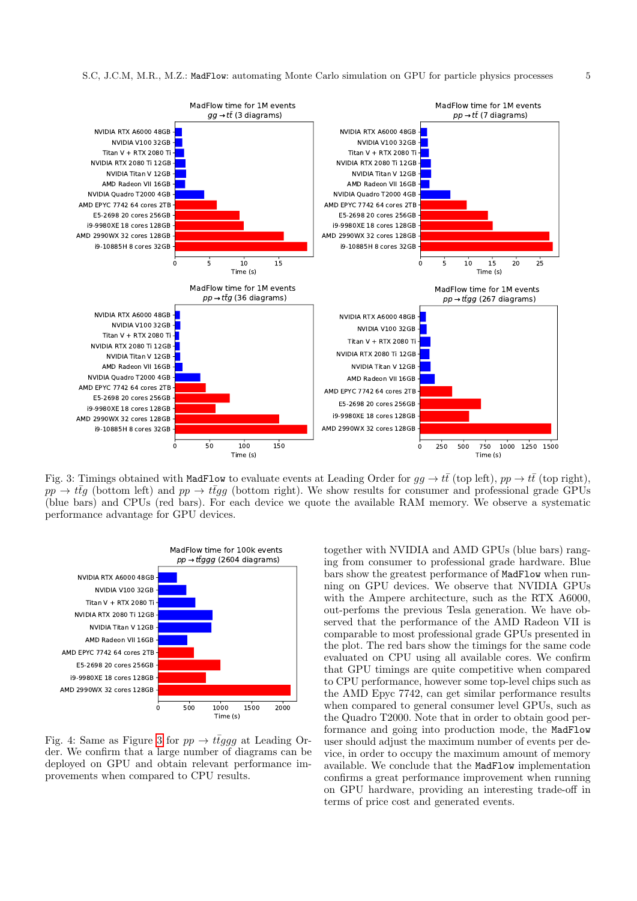<span id="page-4-0"></span>

Fig. 3: Timings obtained with MadFlow to evaluate events at Leading Order for  $gg \to t\bar{t}$  (top left),  $pp \to t\bar{t}$  (top right),  $pp \to t\bar{t}g$  (bottom left) and  $pp \to t\bar{t}gg$  (bottom right). We show results for consumer and professional grade GPUs (blue bars) and CPUs (red bars). For each device we quote the available RAM memory. We observe a systematic performance advantage for GPU devices.

<span id="page-4-1"></span>

Fig. 4: Same as Figure [3](#page-4-0) for  $pp \rightarrow t \bar{t} g g g$  at Leading Order. We confirm that a large number of diagrams can be deployed on GPU and obtain relevant performance improvements when compared to CPU results.

together with NVIDIA and AMD GPUs (blue bars) ranging from consumer to professional grade hardware. Blue bars show the greatest performance of MadFlow when running on GPU devices. We observe that NVIDIA GPUs with the Ampere architecture, such as the RTX A6000, out-perfoms the previous Tesla generation. We have observed that the performance of the AMD Radeon VII is comparable to most professional grade GPUs presented in the plot. The red bars show the timings for the same code evaluated on CPU using all available cores. We confirm that GPU timings are quite competitive when compared to CPU performance, however some top-level chips such as the AMD Epyc 7742, can get similar performance results when compared to general consumer level GPUs, such as the Quadro T2000. Note that in order to obtain good performance and going into production mode, the MadFlow user should adjust the maximum number of events per device, in order to occupy the maximum amount of memory available. We conclude that the MadFlow implementation confirms a great performance improvement when running on GPU hardware, providing an interesting trade-off in terms of price cost and generated events.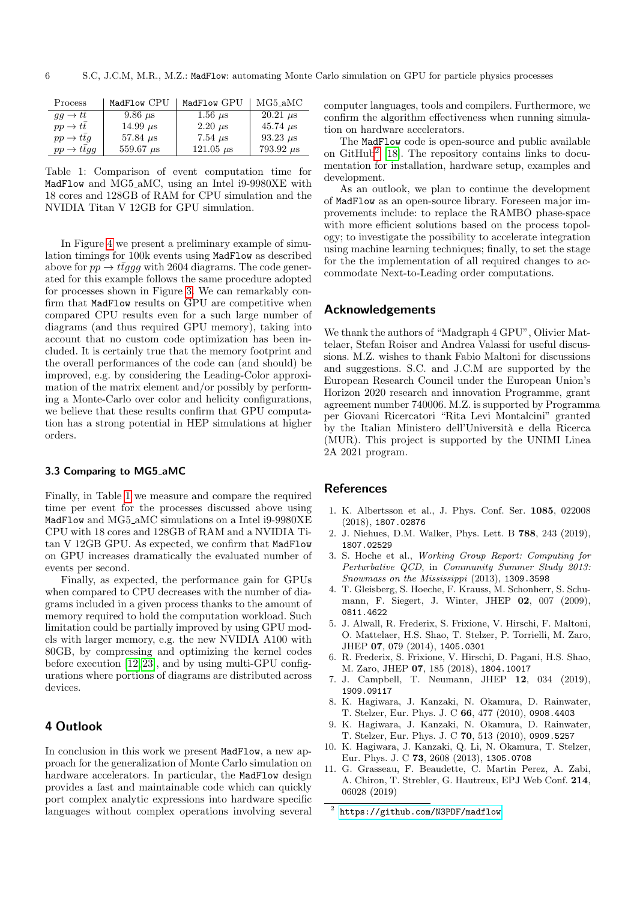<span id="page-5-9"></span>

| Process                        | MadFlow CPU      | MadFlow GPU    | $MG5_aMC$        |
|--------------------------------|------------------|----------------|------------------|
| $qq \rightarrow tt$            | $9.86 \mu s$     | 1.56 $\mu$ s   | $20.21 \ \mu s$  |
| $pp \rightarrow tt$            | 14.99 $\mu$ s    | $2.20 \mu s$   | 45.74 $\mu$ s    |
| $pp \rightarrow ttq$           | 57.84 $\mu$ s    | 7.54 $\mu$ s   | 93.23 $\mu$ s    |
| $pp \rightarrow t \bar{t} g g$ | $559.67 \ \mu s$ | 121.05 $\mu$ s | $793.92 \ \mu s$ |

Table 1: Comparison of event computation time for MadFlow and MG5 aMC, using an Intel i9-9980XE with 18 cores and 128GB of RAM for CPU simulation and the NVIDIA Titan V 12GB for GPU simulation.

In Figure [4](#page-4-1) we present a preliminary example of simulation timings for 100k events using MadFlow as described above for  $pp \rightarrow t\bar{t}qqq$  with 2604 diagrams. The code generated for this example follows the same procedure adopted for processes shown in Figure [3.](#page-4-0) We can remarkably confirm that MadFlow results on GPU are competitive when compared CPU results even for a such large number of diagrams (and thus required GPU memory), taking into account that no custom code optimization has been included. It is certainly true that the memory footprint and the overall performances of the code can (and should) be improved, e.g. by considering the Leading-Color approximation of the matrix element and/or possibly by performing a Monte-Carlo over color and helicity configurations, we believe that these results confirm that GPU computation has a strong potential in HEP simulations at higher orders.

#### 3.3 Comparing to MG5 aMC

Finally, in Table [1](#page-5-9) we measure and compare the required time per event for the processes discussed above using MadFlow and MG5<sub>-a</sub>MC simulations on a Intel i9-9980XE CPU with 18 cores and 128GB of RAM and a NVIDIA Titan V 12GB GPU. As expected, we confirm that MadFlow on GPU increases dramatically the evaluated number of events per second.

Finally, as expected, the performance gain for GPUs when compared to CPU decreases with the number of diagrams included in a given process thanks to the amount of memory required to hold the computation workload. Such limitation could be partially improved by using GPU models with larger memory, e.g. the new NVIDIA A100 with 80GB, by compressing and optimizing the kernel codes before execution [\[12,](#page-6-0) [23\]](#page-6-11), and by using multi-GPU configurations where portions of diagrams are distributed across devices.

## <span id="page-5-8"></span>4 Outlook

In conclusion in this work we present MadFlow, a new approach for the generalization of Monte Carlo simulation on hardware accelerators. In particular, the MadFlow design provides a fast and maintainable code which can quickly port complex analytic expressions into hardware specific languages without complex operations involving several computer languages, tools and compilers. Furthermore, we confirm the algorithm effectiveness when running simulation on hardware accelerators.

The MadFlow code is open-source and public available on GitHub[2](#page-5-10) [\[18\]](#page-6-6). The repository contains links to documentation for installation, hardware setup, examples and development.

As an outlook, we plan to continue the development of MadFlow as an open-source library. Foreseen major improvements include: to replace the RAMBO phase-space with more efficient solutions based on the process topology; to investigate the possibility to accelerate integration using machine learning techniques; finally, to set the stage for the the implementation of all required changes to accommodate Next-to-Leading order computations.

## Acknowledgements

We thank the authors of "Madgraph 4 GPU", Olivier Mattelaer, Stefan Roiser and Andrea Valassi for useful discussions. M.Z. wishes to thank Fabio Maltoni for discussions and suggestions. S.C. and J.C.M are supported by the European Research Council under the European Union's Horizon 2020 research and innovation Programme, grant agreement number 740006. M.Z. is supported by Programma per Giovani Ricercatori "Rita Levi Montalcini" granted by the Italian Ministero dell'Universit`a e della Ricerca (MUR). This project is supported by the UNIMI Linea 2A 2021 program.

## **References**

- <span id="page-5-0"></span>1. K. Albertsson et al., J. Phys. Conf. Ser. 1085, 022008 (2018), 1807.02876
- <span id="page-5-1"></span>2. J. Niehues, D.M. Walker, Phys. Lett. B 788, 243 (2019), 1807.02529
- <span id="page-5-2"></span>3. S. Hoche et al., Working Group Report: Computing for Perturbative QCD, in Community Summer Study 2013: Snowmass on the Mississippi (2013), 1309.3598
- <span id="page-5-3"></span>4. T. Gleisberg, S. Hoeche, F. Krauss, M. Schonherr, S. Schumann, F. Siegert, J. Winter, JHEP 02, 007 (2009), 0811.4622
- <span id="page-5-6"></span>5. J. Alwall, R. Frederix, S. Frixione, V. Hirschi, F. Maltoni, O. Mattelaer, H.S. Shao, T. Stelzer, P. Torrielli, M. Zaro, JHEP 07, 079 (2014), 1405.0301
- <span id="page-5-7"></span>6. R. Frederix, S. Frixione, V. Hirschi, D. Pagani, H.S. Shao, M. Zaro, JHEP 07, 185 (2018), 1804.10017
- <span id="page-5-4"></span>7. J. Campbell, T. Neumann, JHEP 12, 034 (2019), 1909.09117
- <span id="page-5-5"></span>8. K. Hagiwara, J. Kanzaki, N. Okamura, D. Rainwater, T. Stelzer, Eur. Phys. J. C 66, 477 (2010), 0908.4403
- 9. K. Hagiwara, J. Kanzaki, N. Okamura, D. Rainwater, T. Stelzer, Eur. Phys. J. C 70, 513 (2010), 0909.5257
- 10. K. Hagiwara, J. Kanzaki, Q. Li, N. Okamura, T. Stelzer, Eur. Phys. J. C 73, 2608 (2013), 1305.0708
- 11. G. Grasseau, F. Beaudette, C. Martin Perez, A. Zabi, A. Chiron, T. Strebler, G. Hautreux, EPJ Web Conf. 214, 06028 (2019)

<span id="page-5-10"></span><sup>2</sup> <https://github.com/N3PDF/madflow>